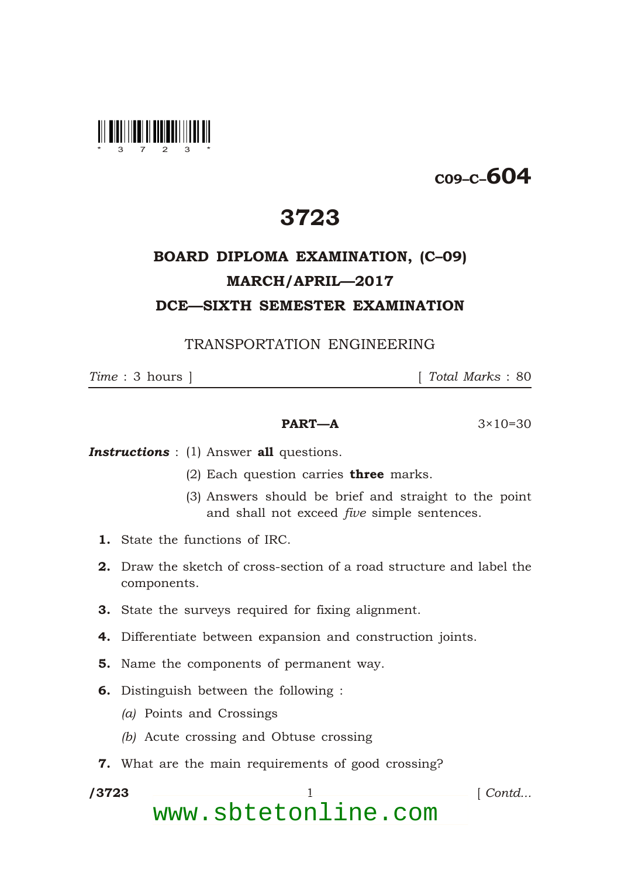

## C09–C–604

## 3723

## BOARD DIPLOMA EXAMINATION, (C–09) MARCH/APRIL—2017 DCE—SIXTH SEMESTER EXAMINATION

TRANSPORTATION ENGINEERING

*Time* : 3 hours ] [ *Total Marks* : 80

## **PART—A**  $3 \times 10 = 30$

**Instructions** : (1) Answer all questions.

- (2) Each question carries **three** marks.
- (3) Answers should be brief and straight to the point and shall not exceed *five* simple sentences.
- 1. State the functions of IRC.
- 2. Draw the sketch of cross-section of a road structure and label the components.
- 3. State the surveys required for fixing alignment.
- 4. Differentiate between expansion and construction joints.
- 5. Name the components of permanent way.
- 6. Distinguish between the following :
	- *(a)* Points and Crossings
	- *(b)* Acute crossing and Obtuse crossing
- 7. What are the main requirements of good crossing?

/3723

\*

1 *Contd...* 

www.sbtetonline.com